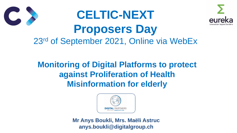

### **Monitoring of Digital Platforms to protect against Proliferation of Health Misinformation for elderly**





## **CELTIC-NEXT Proposers Day** 23rd of September 2021, Online via WebEx

**Mr Anys Boukli, Mrs. Maëli Astruc anys.boukli@digitalgroup.ch**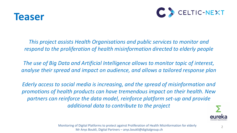

*This project assists Health Organisations and public services to monitor and respond to the proliferation of health misinformation directed to elderly people*

*The use of Big Data and Artificial Intelligence allows to monitor topic of interest, analyse their spread and impact on audience, and allows a tailored response plan*

*Ederly access to social media is increasing, and the spread of misinformation and promotions of health products can have tremendous impact on their health. New*  partners can reinforce the data model, reinforce platform set-up and provide *additional data to contribute to the project*



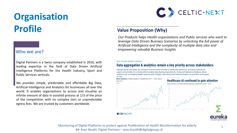## **Organisation Profile**

nnovation bevond bor 3









Digital Partners is a Swiss company established in 2016, with leading expertise in the field of Data Driven Artificial Intelligence Platforms for the Health industry, Sport and Public Services verticals.

We provides simple, predictable and affordable Big Data, Artificial Intelligence and Analytics for businesses all over the world. It enables organizations to access and visualize an infinite amount of data in assisted process at 1/3 of the price of the competition with no complex tiers or unpredictable egress fees. We are trusted by customers worldwide.

#### **Who we are?**

#### **Value Proposition (Why)**

*Our Products helps Health organizations and Public services who want to leverage Data Driven Business Scenarios by unlocking the full power of Artificial Intelligence and the complexity of multiple data silos and empowering valuable Business Insights*

**HEALTHCARE MARKET DRIVERS** 

#### Data aggregation & analytics remain a key priority across stakeholders

Interoperability mandates are driving increased market activity in health data platforms, providing methods for payers and providers to comply with emerging data sharing requirements. Going well beyond compliance, these solutions are now helping health systems push insights, with clinical and financial impact, to providers at the point of care.



News mentions of data analytics in healthcare,  $2011 - 2021$  (as of  $3/31/21)$ 

**C**CBINSIGHTS



ns of AI and machine learning in healthcare, 02'16 - 01'21



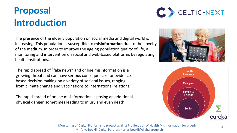## **Proposal Introduction**

The rapid spread of "fake news" and online misinformation is a growing threat and can have serious consequences for evidencebased decision making on a variety of societal issues, ranging from climate change and vaccinations to international relations .

The rapid spread of online misinformation is posing an additional, physical danger, sometimes leading to injury and even death.

The presence of the elderly population on social media and digital world is increasing. This population is susceptible to **misinformation** due to the novelty of the medium. In order to improve the ageing population quality of life, a monitoring and intervention on social and web-based platforms by regulating health institutions.





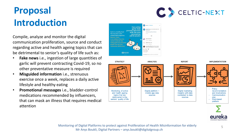## **Proposal Introduction**

Compile, analyze and monitor the digital communication proliferation, source and conduct regarding active and health ageing topics that can be detrimental to senior's quality of life such as:

- **Fake news** i.e., ingestion of large quantities of garlic will prevent contracting Covid-19, so no other preventative measure is required
- **Misguided information** i.e., strenuous exercise once a week, replaces a daily active lifestyle and healthy eating
- **Promotional messages** i.e., bladder-control medications recommended by influencers, that can mask an illness that requires medical attention





**STRATEGY** 

and health ageing

topics that are

detrimental to the

seniors' quality of life

**ANALYSIS** 



**REPORT** 



**IMPLEMENTATION**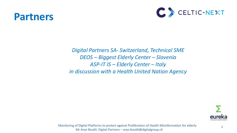

6

#### *Digital Partners SA- Switzerland, Technical SME DEOS – Biggest Elderly Center – Slovenia ASP-IT IS – Elderly Center – Italy in discussion with a Health United Nation Agency*



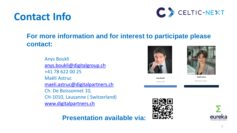### **Contact Info**

#### **For more information and for interest to participate please contact:**

Anys Boukli [anys.boukli@digitalgroup.ch](mailto:anys.boukli@digitalgroup.ch) +41 78 622 00 25 Maëli Astruc [maeli.astruc@digitalpartners.ch](mailto:maeli.astruc@digitalpartners.ch) Ch. De Boissonnet 10, CH-1010, Lausanne ( Switzerland) [www.digitalpartners.ch](http://www.digitalpartners.ch/)

#### **Presentation available via:**





**Anys Boukli** *Founder & CEO*



**Maëli Astruc**

*Data Business Analyst*